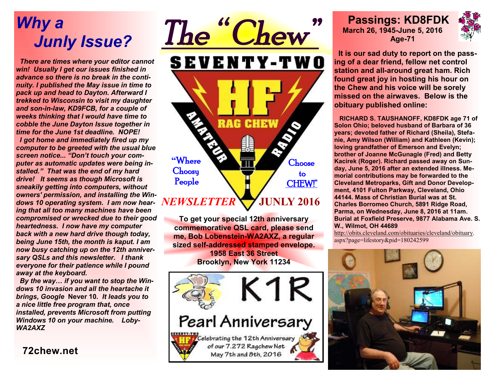# *Why a Junly Issue?*

 *There are times where your editor cannot win! Usually I get our issues finished in advance so there is no break in the continuity. I published the May issue in time to pack up and head to Dayton. Afterward I trekked to Wisconsin to visit my daughter and son-in-law, KD9FCB, for a couple of weeks thinking that I would have time to cobble the June Dayton Issue together in time for the June 1st deadline. NOPE! I got home and immediately fired up my computer to be greeted with the usual blue screen notice... "Don't touch your computer as automatic updates were being installed." That was the end of my hard drive! It seems as though Microsoft is sneakily getting into computers, without owners' permission, and installing the Windows 10 operating system. I am now hearing that all too many machines have been compromised or wrecked due to their good heartedness. I now have my computer back with a new hard drive though today, being June 15th, the month is kaput. I am now busy catching up on the 12th anniversary QSLs and this newsletter. I thank everyone for their patience while I pound away at the keyboard.* 

 *By the way… if you want to stop the Windows 10 invasion and all the heartache it brings, Google* **Never 10***. It leads you to a nice little free program that, once installed, prevents Microsoft from putting Windows 10 on your machine. Loby-WA2AXZ*

**72chew.net**



**To get your special 12th anniversary commemorative QSL card, please send me, Bob Lobenstein-WA2AXZ, a regular sized self-addressed stamped envelope. 1958 East 36 Street Brooklyn, New York 11234** 



 **Passings: KD8FDK March 26, 1945-June 5, 2016 Age-71** 



 **It is our sad duty to report on the passing of a dear friend, fellow net control station and all-around great ham. Rich found great joy in hosting his hour on the Chew and his voice will be sorely missed on the airwaves. Below is the obituary published online:** 

 **RICHARD S. TAUSHANOFF, KD8FDK age 71 of Solon Ohio; beloved husband of Barbara of 36 years; devoted father of Richard (Sheila), Stefanie, Amy Wilson (William) and Kathleen (Kevin); loving grandfather of Emerson and Evelyn; brother of Joanne McGunagle (Fred) and Betty Kacirek (Roger). Richard passed away on Sunday, June 5, 2016 after an extended illness. Memorial contributions may be forwarded to the Cleveland Metroparks, Gift and Donor Development, 4101 Fulton Parkway, Cleveland, Ohio 44144. Mass of Christian Burial was at St. Charles Borromeo Church, 5891 Ridge Road, Parma, on Wednesday, June 8, 2016 at 11am. Burial at Foxfield Preserve, 9877 Alabama Ave. S. W., Wilmot, OH 44689** 

http://obits.cleveland.com/obituaries/cleveland/obituary. aspx?page=lifestory&pid=180242599

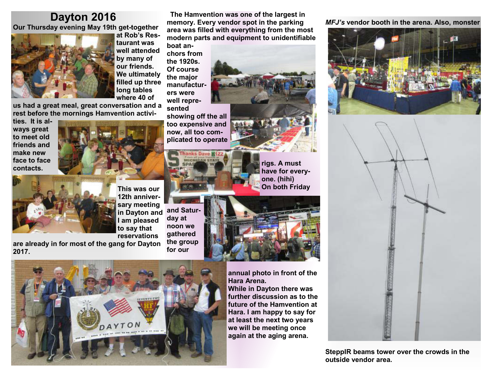### **Dayton 2016**

 **Our Thursday evening May 19th get-together** 



**at Rob's Restaurant was well attended by many of our friends. We ultimately filled up three long tables where 40 of** 

**us had a great meal, great conversation and a rest before the mornings Hamvention activi-**

**ties. It is always great to meet old friends and make new face to face contacts.** 





**and Saturday at noon we gathered This was our 12th anniversary meeting in Dayton and I am pleased to say that reservations** 

**the group for our are already in for most of the gang for Dayton 2017.** 

**The Hamvention was one of the largest in memory. Every vendor spot in the parking area was filled with everything from the most modern parts and equipment to unidentifiable** 

**boat anchors from the 1920s. Of course the major manufacturers were well represented**

**showing off the all too expensive and now, all too complicated to operate** 



**rigs. A must have for everyone. (hihi) On both Friday** 



DAYTON

**annual photo in front of the Hara Arena. While in Dayton there was further discussion as to the future of the Hamvention at Hara. I am happy to say for at least the next two years we will be meeting once again at the aging arena.** 

*MFJ's* **vendor booth in the arena. Also, monster** 





**SteppIR beams tower over the crowds in the outside vendor area.**